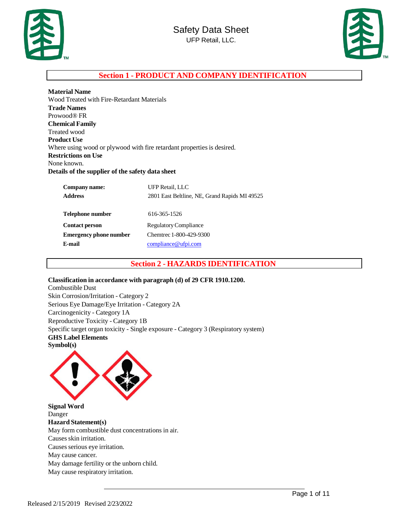



### **Section 1 - PRODUCT AND COMPANY IDENTIFICATION**

| <b>Material Name</b>                                                   |
|------------------------------------------------------------------------|
| Wood Treated with Fire-Retardant Materials                             |
| <b>Trade Names</b>                                                     |
| Prowood® FR                                                            |
| <b>Chemical Family</b>                                                 |
| Treated wood                                                           |
| <b>Product Use</b>                                                     |
| Where using wood or plywood with fire retardant properties is desired. |
| <b>Restrictions on Use</b>                                             |
| None known.                                                            |
| Details of the supplier of the safety data sheet                       |

| Company name:<br><b>Address</b> | UFP Retail, LLC<br>2801 East Beltline, NE, Grand Rapids MI 49525 |
|---------------------------------|------------------------------------------------------------------|
| Telephone number                | 616-365-1526                                                     |
| <b>Contact person</b>           | Regulatory Compliance                                            |
| <b>Emergency phone number</b>   | Chemtrec 1-800-429-9300                                          |
| E-mail                          | compliance@ufpi.com                                              |

### **Section 2 - HAZARDS IDENTIFICATION**

#### **Classification in accordance with paragraph (d) of 29 CFR 1910.1200.**

Combustible Dust Skin Corrosion/Irritation - Category 2 Serious Eye Damage/Eye Irritation - Category 2A Carcinogenicity - Category 1A Reproductive Toxicity - Category 1B Specific target organ toxicity - Single exposure - Category 3 (Respiratory system) **GHS Label Elements Symbol(s)**



**Signal Word** Danger **Hazard Statement(s)** May form combustible dust concentrations in air. Causes skin irritation. Causes serious eye irritation. May cause cancer. May damage fertility or the unborn child. May cause respiratory irritation.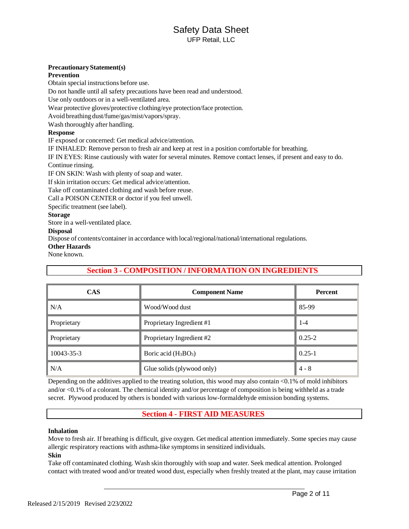#### **PrecautionaryStatement(s)**

#### **Prevention**

Obtain special instructions before use.

Do not handle until all safety precautions have been read and understood.

Use only outdoors or in a well-ventilated area.

Wear protective gloves/protective clothing/eye protection/face protection.

Avoid breathing dust/fume/gas/mist/vapors/spray.

Wash thoroughly after handling.

#### **Response**

IF exposed or concerned: Get medical advice/attention.

IF INHALED: Remove person to fresh air and keep at rest in a position comfortable for breathing.

IF IN EYES: Rinse cautiously with water for several minutes. Remove contact lenses, if present and easy to do. Continue rinsing.

IF ON SKIN: Wash with plenty of soap and water.

If skin irritation occurs: Get medical advice/attention.

Take off contaminated clothing and wash before reuse.

Call a POISON CENTER or doctor if you feel unwell.

Specific treatment (see label).

### **Storage**

Store in a well-ventilated place.

#### **Disposal**

Dispose of contents/container in accordance with local/regional/national/international regulations.

#### **Other Hazards**

None known.

### **Section 3 - COMPOSITION / INFORMATION ON INGREDIENTS**

| <b>CAS</b>  | <b>Component Name</b>      | <b>Percent</b> |  |  |
|-------------|----------------------------|----------------|--|--|
| N/A         | Wood/Wood dust             | 85-99          |  |  |
| Proprietary | Proprietary Ingredient #1  | $1 - 4$        |  |  |
| Proprietary | Proprietary Ingredient #2  | $0.25 - 2$     |  |  |
| 10043-35-3  | Boric acid $(H_3BO_3)$     | $0.25 - 1$     |  |  |
| N/A         | Glue solids (plywood only) | $4 - 8$        |  |  |

Depending on the additives applied to the treating solution, this wood may also contain <0.1% of mold inhibitors and/or <0.1% of a colorant. The chemical identity and/or percentage of composition is being withheld as a trade secret. Plywood produced by others is bonded with various low-formaldehyde emission bonding systems.

### **Section 4 - FIRST AID MEASURES**

### **Inhalation**

Move to fresh air. If breathing is difficult, give oxygen. Get medical attention immediately. Some species may cause allergic respiratory reactions with asthma-like symptoms in sensitized individuals.

### **Skin**

Take off contaminated clothing. Wash skin thoroughly with soap and water. Seek medical attention. Prolonged contact with treated wood and/or treated wood dust, especially when freshly treated at the plant, may cause irritation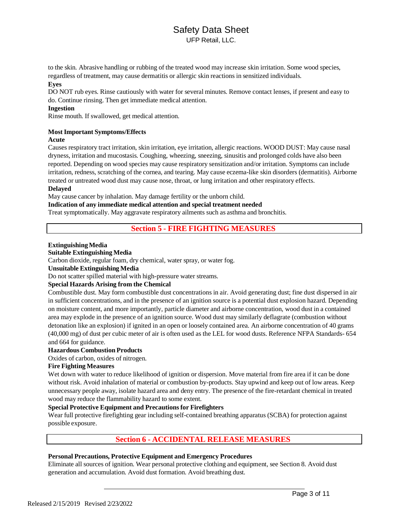# Safety Data Sheet

UFP Retail, LLC.

to the skin. Abrasive handling or rubbing of the treated wood may increase skin irritation. Some wood species, regardless of treatment, may cause dermatitis or allergic skin reactions in sensitized individuals.

#### **Eyes**

DO NOT rub eyes. Rinse cautiously with water for several minutes. Remove contact lenses, if present and easy to do. Continue rinsing. Then get immediate medical attention.

#### **Ingestion**

Rinse mouth. If swallowed, get medical attention.

#### **Most Important Symptoms/Effects**

#### **Acute**

Causes respiratory tract irritation, skin irritation, eye irritation, allergic reactions. WOOD DUST: May cause nasal dryness, irritation and mucostasis. Coughing, wheezing, sneezing, sinusitis and prolonged colds have also been reported. Depending on wood species may cause respiratory sensitization and/or irritation. Symptoms can include irritation, redness, scratching of the cornea, and tearing. May cause eczema-like skin disorders (dermatitis). Airborne treated or untreated wood dust may cause nose, throat, or lung irritation and other respiratory effects.

#### **Delayed**

May cause cancer by inhalation. May damage fertility or the unborn child.

#### **Indication of any immediate medical attention and special treatment needed**

Treat symptomatically. May aggravate respiratory ailments such as asthma and bronchitis.

### **Section 5 - FIRE FIGHTING MEASURES**

#### **ExtinguishingMedia**

### **Suitable Extinguishing Media**

Carbon dioxide, regular foam, dry chemical, water spray, or water fog.

#### **Unsuitable Extinguishing Media**

Do not scatter spilled material with high-pressure water streams.

#### **Special Hazards Arising from the Chemical**

Combustible dust. May form combustible dust concentrations in air. Avoid generating dust; fine dust dispersed in air in sufficient concentrations, and in the presence of an ignition source is a potential dust explosion hazard. Depending on moisture content, and more importantly, particle diameter and airborne concentration, wood dust in a contained area may explode in the presence of an ignition source. Wood dust may similarly deflagrate (combustion without detonation like an explosion) if ignited in an open or loosely contained area. An airborne concentration of 40 grams (40,000 mg) of dust per cubic meter of air is often used as the LEL for wood dusts. Reference NFPA Standards- 654 and 664 for guidance.

#### **Hazardous Combustion Products**

Oxides of carbon, oxides of nitrogen.

#### **Fire Fighting Measures**

Wet down with water to reduce likelihood of ignition or dispersion. Move material from fire area if it can be done without risk. Avoid inhalation of material or combustion by-products. Stay upwind and keep out of low areas. Keep unnecessary people away, isolate hazard area and deny entry. The presence of the fire-retardant chemical in treated wood may reduce the flammability hazard to some extent.

#### **Special Protective Equipment and Precautionsfor Firefighters**

Wear full protective firefighting gear including self-contained breathing apparatus (SCBA) for protection against possible exposure.

### **Section 6 - ACCIDENTAL RELEASE MEASURES**

#### **Personal Precautions, Protective Equipment and Emergency Procedures**

Eliminate all sources of ignition. Wear personal protective clothing and equipment, see Section 8. Avoid dust generation and accumulation. Avoid dust formation. Avoid breathing dust.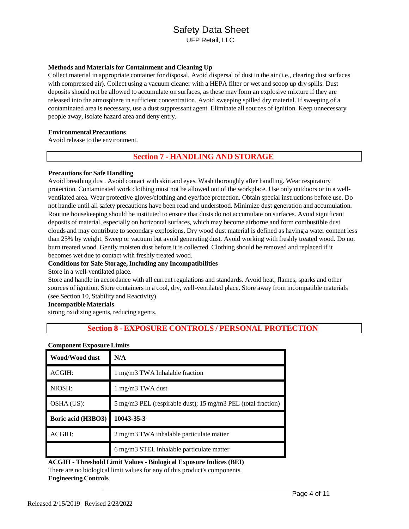#### **Methods and Materials for Containment and Cleaning Up**

Collect material in appropriate container for disposal. Avoid dispersal of dust in the air (i.e., clearing dust surfaces with compressed air). Collect using a vacuum cleaner with a HEPA filter or wet and scoop up dry spills. Dust deposits should not be allowed to accumulate on surfaces, as these may form an explosive mixture if they are released into the atmosphere in sufficient concentration. Avoid sweeping spilled dry material. If sweeping of a contaminated area is necessary, use a dust suppressant agent. Eliminate all sources of ignition. Keep unnecessary people away, isolate hazard area and deny entry.

#### **Environmental Precautions**

Avoid release to the environment.

### **Section 7 - HANDLING AND STORAGE**

#### **Precautions for Safe Handling**

Avoid breathing dust. Avoid contact with skin and eyes. Wash thoroughly after handling. Wear respiratory protection. Contaminated work clothing must not be allowed out of the workplace. Use only outdoors or in a wellventilated area. Wear protective gloves/clothing and eye/face protection. Obtain special instructions before use. Do not handle until all safety precautions have been read and understood. Minimize dust generation and accumulation. Routine housekeeping should be instituted to ensure that dusts do not accumulate on surfaces. Avoid significant deposits of material, especially on horizontal surfaces, which may become airborne and form combustible dust clouds and may contribute to secondary explosions. Dry wood dust material is defined as having a water content less than 25% by weight. Sweep or vacuum but avoid generating dust. Avoid working with freshly treated wood. Do not burn treated wood. Gently moisten dust before it is collected. Clothing should be removed and replaced if it becomes wet due to contact with freshly treated wood.

#### **Conditions for Safe Storage, Including any Incompatibilities**

#### Store in a well-ventilated place.

Store and handle in accordance with all current regulations and standards. Avoid heat, flames, sparks and other sources of ignition. Store containers in a cool, dry, well-ventilated place. Store away from incompatible materials (see Section 10, Stability and Reactivity).

#### **IncompatibleMaterials**

strong oxidizing agents, reducing agents.

### **Section 8 - EXPOSURE CONTROLS / PERSONAL PROTECTION**

| Wood/Wood dust     | N/A                                                          |
|--------------------|--------------------------------------------------------------|
| ACGIH:             | 1 mg/m3 TWA Inhalable fraction                               |
| NIOSH:             | 1 mg/m3 TWA dust                                             |
| OSHA (US):         | 5 mg/m3 PEL (respirable dust); 15 mg/m3 PEL (total fraction) |
| Boric acid (H3BO3) | 10043-35-3                                                   |
| ACGIH:             | 2 mg/m3 TWA inhalable particulate matter                     |
|                    | 6 mg/m3 STEL inhalable particulate matter                    |

#### **Component Exposure Limits**

**ACGIH - Threshold Limit Values - Biological Exposure Indices (BEI)** There are no biological limit values for any of this product's components. **Engineering Controls**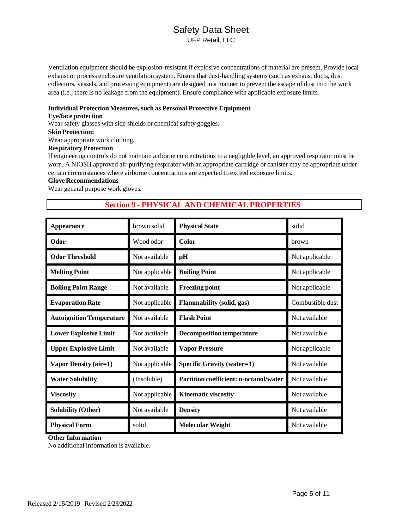# Safety Data Sheet

UFP Retail, LLC

Ventilation equipment should be explosion-resistant if explosive concentrations of material are present. Provide local exhaust or process enclosure ventilation system. Ensure that dust-handling systems (such as exhaust ducts, dust collectors, vessels, and processing equipment) are designed in a manner to prevent the escape of dust into the work area (i.e., there is no leakage from the equipment). Ensure compliance with applicable exposure limits.

#### **Individual Protection Measures, such as Personal Protective Equipment**

#### **Eye/face protection**

Wear safety glasses with side shields or chemical safety goggles.

#### **Skin Protection:**

Wear appropriate work clothing.

### **RespiratoryProtection**

If engineering controls do not maintain airborne concentrations to a negligible level, an approved respirator must be worn. A NIOSH approved air-purifying respirator with an appropriate cartridge or canister may be appropriate under certain circumstances where airborne concentrations are expected to exceed exposure limits.

### **Glove Recommendations**

Wear general purpose work gloves.

### **Section 9 - PHYSICAL AND CHEMICAL PROPERTIES**

| Appearance                      | brown solid    | <b>Physical State</b>                         | solid            |
|---------------------------------|----------------|-----------------------------------------------|------------------|
| Odor                            | Wood odor      | Color                                         | <b>brown</b>     |
| <b>Odor Threshold</b>           | Not available  | pH                                            | Not applicable   |
| <b>Melting Point</b>            | Not applicable | <b>Boiling Point</b>                          | Not applicable   |
| <b>Boiling Point Range</b>      | Not available  | <b>Freezing point</b>                         | Not applicable   |
| <b>Evaporation Rate</b>         | Not applicable | <b>Flammability (solid, gas)</b>              | Combustible dust |
| <b>Autoignition Temperature</b> | Not available  | <b>Flash Point</b>                            | Not available    |
| <b>Lower Explosive Limit</b>    | Not available  | <b>Decomposition temperature</b>              | Not available    |
| <b>Upper Explosive Limit</b>    | Not available  | <b>Vapor Pressure</b>                         | Not applicable   |
| <b>Vapor Density (air=1)</b>    | Not applicable | <b>Specific Gravity (water=1)</b>             | Not available    |
| <b>Water Solubility</b>         | (Insoluble)    | <b>Partition coefficient: n-octanol/water</b> | Not available    |
| <b>Viscosity</b>                | Not applicable | <b>Kinematic viscosity</b>                    | Not available    |
| <b>Solubility (Other)</b>       | Not available  | <b>Density</b>                                | Not available    |
| <b>Physical Form</b>            | solid          | <b>Molecular Weight</b>                       | Not available    |

**Other Information**

No additional information is available.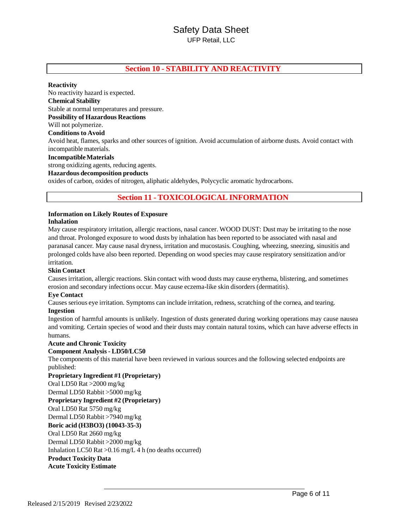### **Section 10 - STABILITY AND REACTIVITY**

#### **Reactivity**

No reactivity hazard is expected. **Chemical Stability** Stable at normal temperatures and pressure. **Possibility of Hazardous Reactions** Will not polymerize. **Conditions to Avoid** Avoid heat, flames, sparks and other sources of ignition. Avoid accumulation of airborne dusts. Avoid contact with incompatible materials. **IncompatibleMaterials** strong oxidizing agents, reducing agents. **Hazardous decomposition products**

oxides of carbon, oxides of nitrogen, aliphatic aldehydes, Polycyclic aromatic hydrocarbons.

### **Section 11 - TOXICOLOGICAL INFORMATION**

# **Information on Likely Routes of Exposure**

**Inhalation**

May cause respiratory irritation, allergic reactions, nasal cancer. WOOD DUST: Dust may be irritating to the nose and throat. Prolonged exposure to wood dusts by inhalation has been reported to be associated with nasal and paranasal cancer. May cause nasal dryness, irritation and mucostasis. Coughing, wheezing, sneezing, sinusitis and prolonged colds have also been reported. Depending on wood species may cause respiratory sensitization and/or irritation.

#### **Skin Contact**

Causesirritation, allergic reactions. Skin contact with wood dusts may cause erythema, blistering, and sometimes erosion and secondary infections occur. May cause eczema-like skin disorders (dermatitis).

#### **Eye Contact**

Causes serious eye irritation. Symptoms can include irritation, redness, scratching of the cornea, and tearing.

#### **Ingestion**

Ingestion of harmful amounts is unlikely. Ingestion of dusts generated during working operations may cause nausea and vomiting. Certain species of wood and their dusts may contain natural toxins, which can have adverse effects in humans.

#### **Acute and Chronic Toxicity**

#### **Component Analysis - LD50/LC50**

The components of this material have been reviewed in various sources and the following selected endpoints are

published: **Proprietary Ingredient #1 (Proprietary)** Oral LD50 Rat >2000 mg/kg Dermal LD50 Rabbit >5000 mg/kg **Proprietary Ingredient #2 (Proprietary)** Oral LD50 Rat 5750 mg/kg Dermal LD50 Rabbit >7940 mg/kg **Boric acid (H3BO3) (10043-35-3)** Oral LD50 Rat 2660 mg/kg Dermal LD50 Rabbit >2000 mg/kg Inhalation LC50 Rat >0.16 mg/L 4 h (no deaths occurred) **Product Toxicity Data Acute Toxicity Estimate**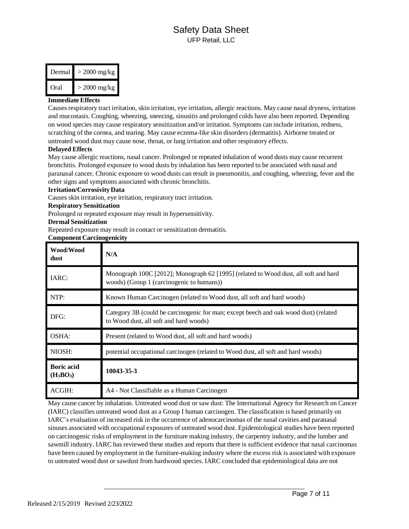| Dermal | $>$ 2000 mg/kg |
|--------|----------------|
| Oral   | $>$ 2000 mg/kg |

#### **Immediate Effects**

Causes respiratory tract irritation, skin irritation, eye irritation, allergic reactions. May cause nasal dryness, irritation and mucostasis. Coughing, wheezing, sneezing, sinusitis and prolonged colds have also been reported. Depending on wood species may cause respiratory sensitization and/or irritation. Symptoms can include irritation, redness, scratching of the cornea, and tearing. May cause eczema-like skin disorders (dermatitis). Airborne treated or untreated wood dust may cause nose, throat, or lung irritation and other respiratory effects.

#### **Delayed Effects**

May cause allergic reactions, nasal cancer. Prolonged or repeated inhalation of wood dusts may cause recurrent bronchitis. Prolonged exposure to wood dusts by inhalation has been reported to be associated with nasal and paranasal cancer. Chronic exposure to wood dusts can result in pneumonitis, and coughing, wheezing, fever and the other signs and symptoms associated with chronic bronchitis.

#### **Irritation/Corrosivity Data**

Causes skin irritation, eye irritation, respiratory tract irritation.

#### **Respiratory Sensitization**

Prolonged or repeated exposure may result in hypersensitivity.

#### **Dermal Sensitization**

Repeated exposure may result in contact or sensitization dermatitis.

#### **Component Carcinogenicity**

| Wood/Wood<br>dust                | N/A                                                                                                                              |
|----------------------------------|----------------------------------------------------------------------------------------------------------------------------------|
| IARC:                            | Monograph 100C [2012]; Monograph 62 [1995] (related to Wood dust, all soft and hard<br>woods) (Group 1 (carcinogenic to humans)) |
| NTP:                             | Known Human Carcinogen (related to Wood dust, all soft and hard woods)                                                           |
| DFG:                             | Category 3B (could be carcinogenic for man; except beech and oak wood dust) (related<br>to Wood dust, all soft and hard woods)   |
| OSHA:                            | Present (related to Wood dust, all soft and hard woods)                                                                          |
| NIOSH:                           | potential occupational carcinogen (related to Wood dust, all soft and hard woods)                                                |
| <b>Boric acid</b><br>$(H_3BO_3)$ | 10043-35-3                                                                                                                       |
| ACGIH:                           | A4 - Not Classifiable as a Human Carcinogen                                                                                      |

May cause cancer by inhalation. Untreated wood dust or saw dust: The International Agency for Research on Cancer (IARC) classifies untreated wood dust as a Group I human carcinogen. The classification is based primarily on IARC's evaluation of increased risk in the occurrence of adenocarcinomas of the nasal cavities and paranasal sinuses associated with occupational exposures of untreated wood dust. Epidemiological studies have been reported on carcinogenic risks of employment in the furniture making industry, the carpentry industry, and the lumber and sawmill industry. IARC has reviewed these studies and reports that there is sufficient evidence that nasal carcinomas have been caused by employment in the furniture-making industry where the excess risk is associated with exposure to untreated wood dust or sawdust from hardwood species. IARC concluded that epidemiological data are not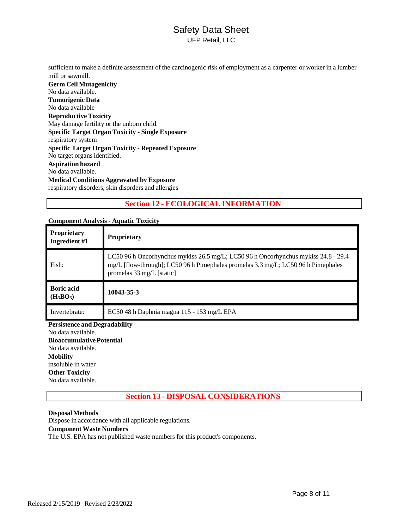sufficient to make a definite assessment of the carcinogenic risk of employment as a carpenter or worker in a lumber mill or sawmill.

**Germ Cell Mutagenicity** No data available. **Tumorigenic Data** No data available **ReproductiveToxicity** May damage fertility or the unborn child. **Specific Target Organ Toxicity - Single Exposure** respiratory system **Specific Target Organ Toxicity - Repeated Exposure** No target organs identified. **Aspiration hazard** No data available. **Medical Conditions Aggravated by Exposure** respiratory disorders, skin disorders and allergies

# **Section 12 - ECOLOGICAL INFORMATION**

| <b>Proprietary</b><br>Ingredient #1 | Proprietary                                                                                                                                                                                          |
|-------------------------------------|------------------------------------------------------------------------------------------------------------------------------------------------------------------------------------------------------|
| Fish:                               | LC50 96 h Oncorhynchus mykiss 26.5 mg/L; LC50 96 h Oncorhynchus mykiss 24.8 - 29.4<br>mg/L [flow-through]; LC50 96 h Pimephales promelas 3.3 mg/L; LC50 96 h Pimephales<br>promelas 33 mg/L [static] |
| <b>Boric acid</b><br>$(H_3BO_3)$    | 10043-35-3                                                                                                                                                                                           |
| Invertebrate:                       | EC50 48 h Daphnia magna 115 - 153 mg/L EPA                                                                                                                                                           |
| Persistence and Decradability       |                                                                                                                                                                                                      |

#### **Component Analysis - Aquatic Toxicity**

**Persistence and Degradability**

No data available. **BioaccumulativePotential** No data available. **Mobility** insoluble in water **Other Toxicity** No data available.

**Section 13 - DISPOSAL CONSIDERATIONS**

### **DisposalMethods**

Dispose in accordance with all applicable regulations.

### **Component Waste Numbers**

The U.S. EPA has not published waste numbers for this product's components.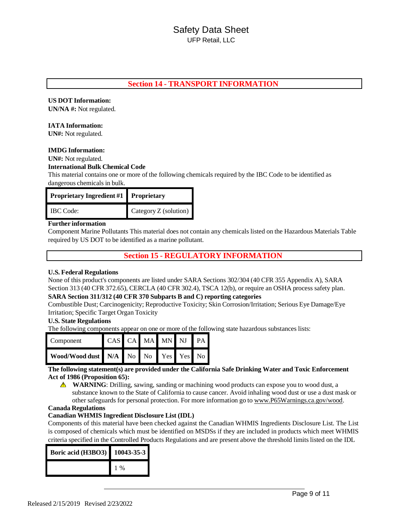### **Section 14 - TRANSPORT INFORMATION**

#### **US DOT Information:**

**UN/NA #:** Not regulated.

#### **IATA Information:**

**UN#:** Not regulated.

#### **IMDG Information:**

**UN#:** Not regulated.

#### **International Bulk Chemical Code**

This material contains one or more of the following chemicals required by the IBC Code to be identified as dangerous chemicals in bulk.

| <b>Proprietary Ingredient #1 Proprietary</b> |                       |
|----------------------------------------------|-----------------------|
| <b>IBC</b> Code:                             | Category Z (solution) |

#### **Further information**

Component Marine Pollutants This material does not contain any chemicals listed on the Hazardous Materials Table required by US DOT to be identified as a marine pollutant.

### **Section 15 - REGULATORY INFORMATION**

#### **U.S. Federal Regulations**

None of this product's components are listed under SARA Sections 302/304 (40 CFR 355 Appendix A), SARA Section 313 (40 CFR 372.65), CERCLA (40 CFR 302.4), TSCA 12(b), or require an OSHA process safety plan.

#### **SARA Section 311/312 (40 CFR 370 Subparts B and C) reporting categories**

Combustible Dust; Carcinogenicity; Reproductive Toxicity; Skin Corrosion/Irritation; Serious Eye Damage/Eye Irritation; Specific Target Organ Toxicity

#### **U.S. State Regulations**

The following components appear on one or more of the following state hazardous substances lists:

| Component                           | CAS CA MA MN NJ PA |  |  |  |
|-------------------------------------|--------------------|--|--|--|
| Wood/Wood dust N/A No No Yes Yes No |                    |  |  |  |

#### **The following statement(s) are provided under the California Safe Drinking Water and Toxic Enforcement Act of 1986 (Proposition 65):**

**MARNING**: Drilling, sawing, sanding or machining wood products can expose you to wood dust, a substance known to the State of California to cause cancer. Avoid inhaling wood dust or use a dust mask or other safeguards for personal protection. For more information go to [www.P65Warnings.ca.gov/wood.](http://www.p65warnings.ca.gov/wood)

#### **Canada Regulations**

#### **Canadian WHMIS Ingredient Disclosure List (IDL)**

Components of this material have been checked against the Canadian WHMIS Ingredients Disclosure List. The List is composed of chemicals which must be identified on MSDSs if they are included in products which meet WHMIS criteria specified in the Controlled Products Regulations and are present above the threshold limitslisted on the IDL

| <b>Boric acid (H3BO3)</b> | 10043-35-3 |
|---------------------------|------------|
|                           | $\%$       |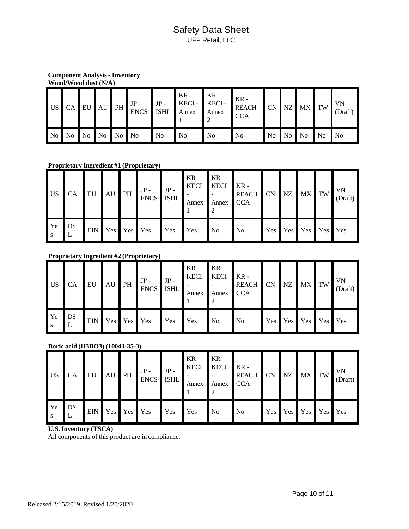**Component Analysis - Inventory Wood/Wood dust (N/A)**

|  |                   | US CA EU AU PH JP- JP- KECI- |     | KR<br>KECI - KECI - | ∎ KR<br>Annex  | KR -<br><b>REACH</b><br><b>CCA</b> |          | CN NZ MX TW |                   | VN<br>(Draft)     |
|--|-------------------|------------------------------|-----|---------------------|----------------|------------------------------------|----------|-------------|-------------------|-------------------|
|  | No No No No No No |                              | No. | N <sub>0</sub>      | N <sub>o</sub> | N <sub>o</sub>                     | No No No |             | $\blacksquare$ No | $\blacksquare$ No |

**Proprietary Ingredient #1 (Proprietary)**

| US <sub>1</sub> | <b>CA</b> | EU |                 | $\begin{array}{c c c c} & \text{AU} & \text{PH} & \text{JP} \\ \hline & \text{ENCS} & \text{ISHL} \end{array} \bigg  \begin{array}{c} \text{JP} \\ \text{ISHL} \end{array} \bigg  \begin{array}{c} \text{-} \\ \text{-} \\ \text{-} \\ \text{-} \end{array} \bigg  \begin{array}{c} \text{I} \\ \text{-} \\ \text{-} \\ \text{-} \\ \text{-} \\ \text{-} \\ \end{array} \bigg  \begin{array}{c} \text{I} \\ \text{I} \\ \text{I} \\ \text{-} \\ \text{-} \\ \text{-} \\ \text{-} \\ \end{array} \big$ |            | KR<br><b>KECI</b><br>Annex | I KR<br><b>KECI</b><br>Annex | $KR -$<br>REACH CN NZ<br><b>CCA</b> |     |         | MX TW      | VN<br>(Draft) |
|-----------------|-----------|----|-----------------|-------------------------------------------------------------------------------------------------------------------------------------------------------------------------------------------------------------------------------------------------------------------------------------------------------------------------------------------------------------------------------------------------------------------------------------------------------------------------------------------------------|------------|----------------------------|------------------------------|-------------------------------------|-----|---------|------------|---------------|
| l Ye            | DS        |    | EIN Yes Yes Yes |                                                                                                                                                                                                                                                                                                                                                                                                                                                                                                       | <b>Yes</b> | <b>Yes</b>                 | $\overline{N}$               | N <sub>o</sub>                      | Yes | Yes Yes | <b>Yes</b> | Yes           |

### **Proprietary Ingredient #2 (Proprietary)**

| <b>US</b> | <b>CA</b> | EU | AU PH           | $JP -$<br>ENCS ISHL | $JP -$ | <b>KR</b><br><b>KECI</b><br>Annex | KR<br><b>KECI</b><br>Annex | $K$ KR -<br>REACH CN NZ<br><b>CCA</b> |  | MX TW       |                  | VN<br>(Draft) |
|-----------|-----------|----|-----------------|---------------------|--------|-----------------------------------|----------------------------|---------------------------------------|--|-------------|------------------|---------------|
| Ye<br>l S | DS<br>L   |    | EIN Yes Yes Yes |                     | Yes    | Yes                               | $\blacksquare$ No          | N <sub>o</sub>                        |  | Yes Yes Yes | Yes <sup>1</sup> | Yes           |

### **Boric acid (H3BO3) (10043-35-3)**

| <b>US</b> | <b>CA</b> | <b>EU</b> |                 | $JP -$<br>$\sim$ $AU$ PH $\frac{1}{2}$ ENCS ISHL | $JP -$ | KR<br><b>KECI</b><br>Annex | KR<br><b>KECI</b><br>Annex | $KR -$<br><b>REACH</b><br><b>CCA</b> | <b>CN</b> | <b>NZ</b> | MX TW |                 | VN<br>(Draft) |
|-----------|-----------|-----------|-----------------|--------------------------------------------------|--------|----------------------------|----------------------------|--------------------------------------|-----------|-----------|-------|-----------------|---------------|
| Ye        | DS        |           | EIN Yes Yes Yes |                                                  | Yes    | Yes                        | N <sub>o</sub>             | N <sub>o</sub>                       | Yes       |           |       | Yes Yes Yes Yes |               |

### **U.S. Inventory (TSCA)**

All components of this product are in compliance.